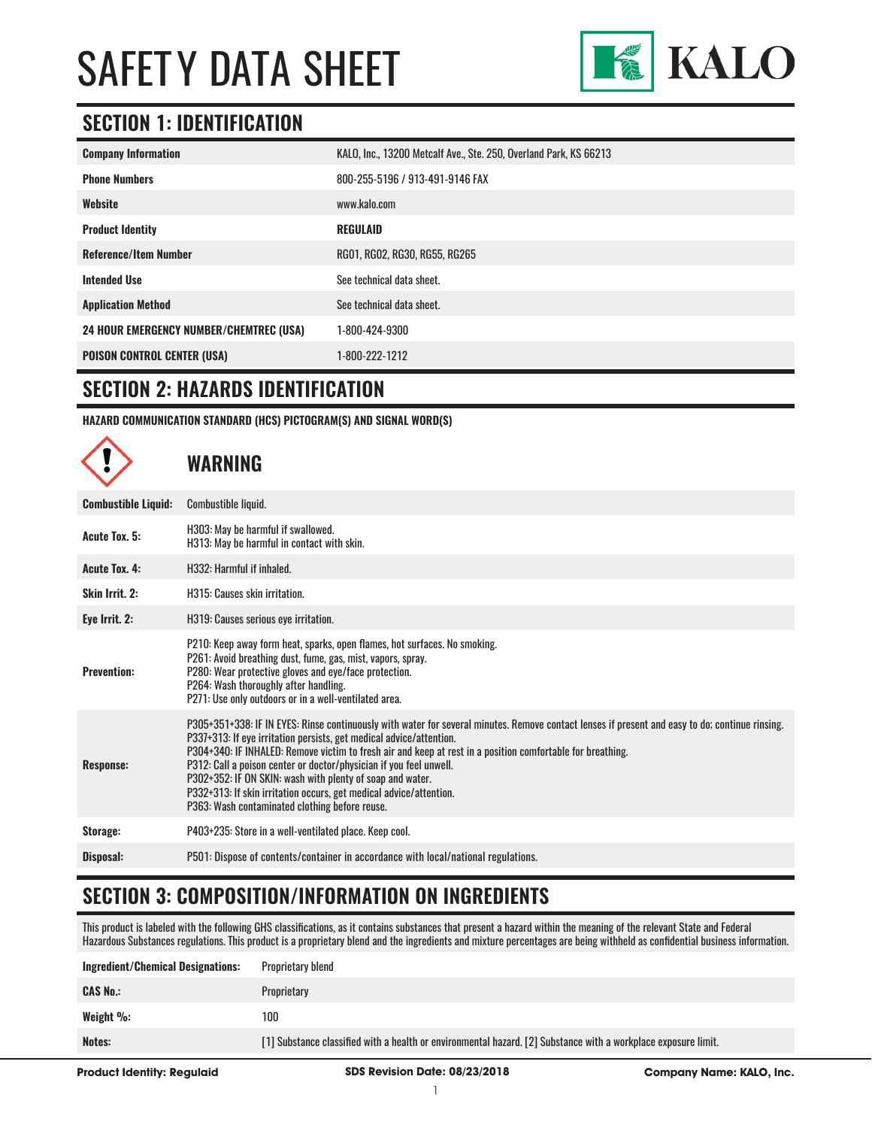

### **SECTION 1: IDENTIFICATION**

| <b>Company Information</b>                     | KALO, Inc., 13200 Metcalf Ave., Ste. 250, Overland Park, KS 66213 |
|------------------------------------------------|-------------------------------------------------------------------|
| <b>Phone Numbers</b>                           | 800-255-5196 / 913-491-9146 FAX                                   |
| Website                                        | www.kalo.com                                                      |
| <b>Product Identity</b>                        | <b>REGULAID</b>                                                   |
| <b>Reference/Item Number</b>                   | RG01, RG02, RG30, RG55, RG265                                     |
| <b>Intended Use</b>                            | See technical data sheet.                                         |
| <b>Application Method</b>                      | See technical data sheet.                                         |
| <b>24 HOUR EMERGENCY NUMBER/CHEMTREC (USA)</b> | 1-800-424-9300                                                    |
| <b>POISON CONTROL CENTER (USA)</b>             | 1-800-222-1212                                                    |

#### **SECTION 2: HAZARDS IDENTIFICATION**

 $\curvearrowright$ 

**HAZARD COMMUNICATION STANDARD (HCS) PICTOGRAM(S) AND SIGNAL WORD(S)**

|                            | WARNING                                                                                                                                                                                                                                                                                                                                                                                                                                                                                                                                                                                         |
|----------------------------|-------------------------------------------------------------------------------------------------------------------------------------------------------------------------------------------------------------------------------------------------------------------------------------------------------------------------------------------------------------------------------------------------------------------------------------------------------------------------------------------------------------------------------------------------------------------------------------------------|
| <b>Combustible Liquid:</b> | Combustible liquid.                                                                                                                                                                                                                                                                                                                                                                                                                                                                                                                                                                             |
| Acute Tox. 5:              | H303: May be harmful if swallowed.<br>H313: May be harmful in contact with skin.                                                                                                                                                                                                                                                                                                                                                                                                                                                                                                                |
| <b>Acute Tox. 4:</b>       | H332: Harmful if inhaled.                                                                                                                                                                                                                                                                                                                                                                                                                                                                                                                                                                       |
| Skin Irrit. 2:             | H315: Causes skin irritation.                                                                                                                                                                                                                                                                                                                                                                                                                                                                                                                                                                   |
| Eye Irrit. 2:              | H319: Causes serious eye irritation.                                                                                                                                                                                                                                                                                                                                                                                                                                                                                                                                                            |
| <b>Prevention:</b>         | P210: Keep away form heat, sparks, open flames, hot surfaces. No smoking.<br>P261: Avoid breathing dust, fume, gas, mist, vapors, spray.<br>P280: Wear protective gloves and eye/face protection.<br>P264: Wash thoroughly after handling.<br>P271: Use only outdoors or in a well-ventilated area.                                                                                                                                                                                                                                                                                             |
| Response:                  | P305+351+338: IF IN EYES: Rinse continuously with water for several minutes. Remove contact lenses if present and easy to do; continue rinsing.<br>P337+313: If eye irritation persists, get medical advice/attention.<br>P304+340: IF INHALED: Remove victim to fresh air and keep at rest in a position comfortable for breathing.<br>P312: Call a poison center or doctor/physician if you feel unwell.<br>P302+352: IF ON SKIN: wash with plenty of soap and water.<br>P332+313: If skin irritation occurs, get medical advice/attention.<br>P363: Wash contaminated clothing before reuse. |
| Storage:                   | P403+235: Store in a well-ventilated place. Keep cool.                                                                                                                                                                                                                                                                                                                                                                                                                                                                                                                                          |
| Disposal:                  | P501: Dispose of contents/container in accordance with local/national regulations.                                                                                                                                                                                                                                                                                                                                                                                                                                                                                                              |
|                            |                                                                                                                                                                                                                                                                                                                                                                                                                                                                                                                                                                                                 |

## **SECTION 3: COMPOSITION/INFORMATION ON INGREDIENTS**

This product is labeled with the following GHS classifications, as it contains substances that present a hazard within the meaning of the relevant State and Federal Hazardous Substances regulations. This product is a proprietary blend and the ingredients and mixture percentages are being withheld as confidential business information.

| <b>Ingredient/Chemical Designations:</b> | Proprietary blend                                                                                              |
|------------------------------------------|----------------------------------------------------------------------------------------------------------------|
| <b>CAS No.:</b>                          | Proprietary                                                                                                    |
| Weight $\%$ :                            | 100                                                                                                            |
| Notes:                                   | [1] Substance classified with a health or environmental hazard. [2] Substance with a workplace exposure limit. |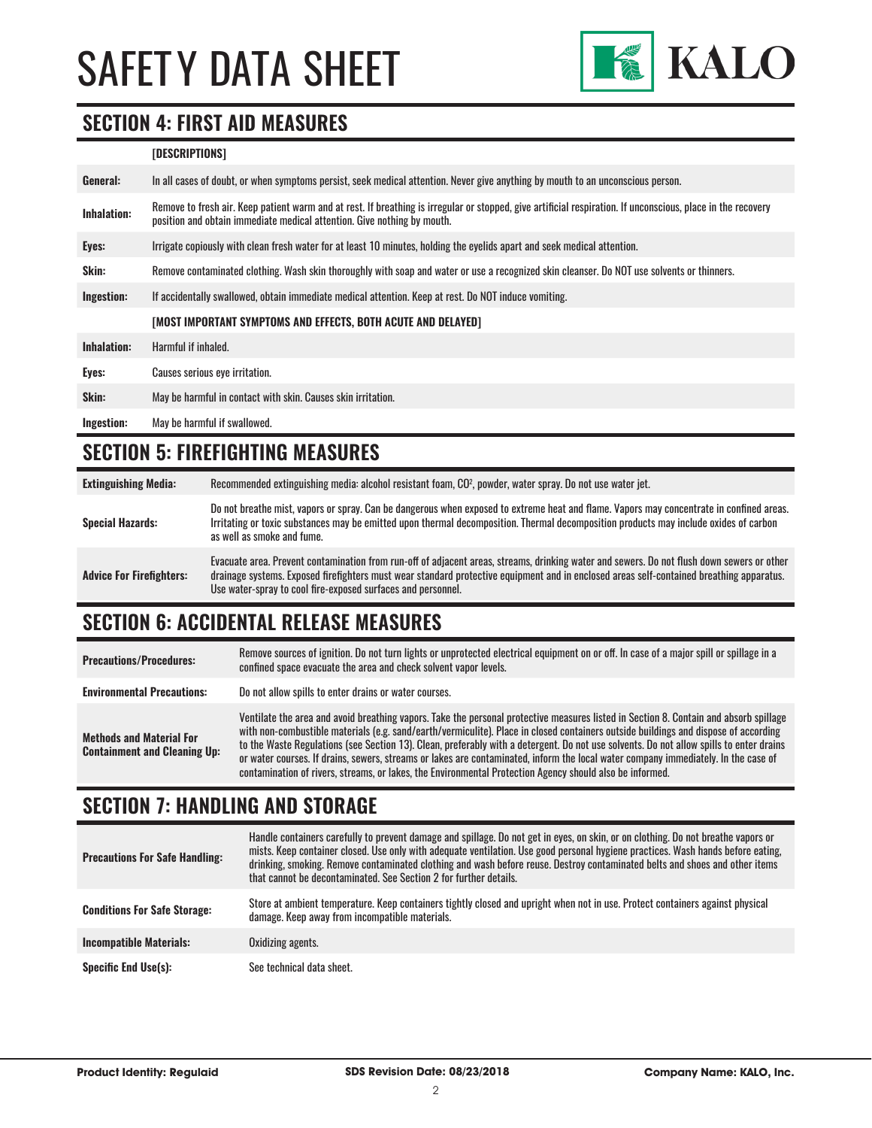

#### **SECTION 4: FIRST AID MEASURES**

#### **[DESCRIPTIONS]**

| General:           | In all cases of doubt, or when symptoms persist, seek medical attention. Never give anything by mouth to an unconscious person.                                                                                                         |  |  |
|--------------------|-----------------------------------------------------------------------------------------------------------------------------------------------------------------------------------------------------------------------------------------|--|--|
| <b>Inhalation:</b> | Remove to fresh air. Keep patient warm and at rest. If breathing is irregular or stopped, give artificial respiration. If unconscious, place in the recovery<br>position and obtain immediate medical attention. Give nothing by mouth. |  |  |
| Eyes:              | Irrigate copiously with clean fresh water for at least 10 minutes, holding the eyelids apart and seek medical attention.                                                                                                                |  |  |
| Skin:              | Remove contaminated clothing. Wash skin thoroughly with soap and water or use a recognized skin cleanser. Do NOT use solvents or thinners.                                                                                              |  |  |
| Ingestion:         | If accidentally swallowed, obtain immediate medical attention. Keep at rest. Do NOT induce vomiting.                                                                                                                                    |  |  |
|                    | [MOST IMPORTANT SYMPTOMS AND EFFECTS, BOTH ACUTE AND DELAYED]                                                                                                                                                                           |  |  |
| Inhalation:        | Harmful if inhaled.                                                                                                                                                                                                                     |  |  |
| Eyes:              | Causes serious eye irritation.                                                                                                                                                                                                          |  |  |
| Skin:              | May be harmful in contact with skin. Causes skin irritation.                                                                                                                                                                            |  |  |
| Ingestion:         | May be harmful if swallowed.                                                                                                                                                                                                            |  |  |

### **SECTION 5: FIREFIGHTING MEASURES**

| <b>Extinguishing Media:</b>     | Recommended extinguishing media: alcohol resistant foam, CO <sup>2</sup> , powder, water spray. Do not use water jet.                                                                                                                                                                                                                                  |
|---------------------------------|--------------------------------------------------------------------------------------------------------------------------------------------------------------------------------------------------------------------------------------------------------------------------------------------------------------------------------------------------------|
| <b>Special Hazards:</b>         | Do not breathe mist, vapors or spray. Can be dangerous when exposed to extreme heat and flame. Vapors may concentrate in confined areas.<br>Irritating or toxic substances may be emitted upon thermal decomposition. Thermal decomposition products may include oxides of carbon<br>as well as smoke and fume.                                        |
| <b>Advice For Firefighters:</b> | Evacuate area. Prevent contamination from run-off of adjacent areas, streams, drinking water and sewers. Do not flush down sewers or other<br>drainage systems. Exposed firefighters must wear standard protective equipment and in enclosed areas self-contained breathing apparatus.<br>Use water-spray to cool fire-exposed surfaces and personnel. |

# **SECTION 6: ACCIDENTAL RELEASE MEASURES**

| <b>Precautions/Procedures:</b>                                         | Remove sources of ignition. Do not turn lights or unprotected electrical equipment on or off. In case of a major spill or spillage in a<br>confined space evacuate the area and check solvent vapor levels.                                                                                                                                                                                                                                                                                                                                                                                                                                                               |
|------------------------------------------------------------------------|---------------------------------------------------------------------------------------------------------------------------------------------------------------------------------------------------------------------------------------------------------------------------------------------------------------------------------------------------------------------------------------------------------------------------------------------------------------------------------------------------------------------------------------------------------------------------------------------------------------------------------------------------------------------------|
| <b>Environmental Precautions:</b>                                      | Do not allow spills to enter drains or water courses.                                                                                                                                                                                                                                                                                                                                                                                                                                                                                                                                                                                                                     |
| <b>Methods and Material For</b><br><b>Containment and Cleaning Up:</b> | Ventilate the area and avoid breathing vapors. Take the personal protective measures listed in Section 8. Contain and absorb spillage<br>with non-combustible materials (e.g. sand/earth/vermiculite). Place in closed containers outside buildings and dispose of according<br>to the Waste Regulations (see Section 13). Clean, preferably with a detergent. Do not use solvents. Do not allow spills to enter drains<br>or water courses. If drains, sewers, streams or lakes are contaminated, inform the local water company immediately. In the case of<br>contamination of rivers, streams, or lakes, the Environmental Protection Agency should also be informed. |

# **SECTION 7: HANDLING AND STORAGE**

| <b>Precautions For Safe Handling:</b> | Handle containers carefully to prevent damage and spillage. Do not get in eyes, on skin, or on clothing. Do not breathe vapors or<br>mists. Keep container closed. Use only with adequate ventilation. Use good personal hygiene practices. Wash hands before eating,<br>drinking, smoking. Remove contaminated clothing and wash before reuse. Destroy contaminated belts and shoes and other items<br>that cannot be decontaminated. See Section 2 for further details. |
|---------------------------------------|---------------------------------------------------------------------------------------------------------------------------------------------------------------------------------------------------------------------------------------------------------------------------------------------------------------------------------------------------------------------------------------------------------------------------------------------------------------------------|
| <b>Conditions For Safe Storage:</b>   | Store at ambient temperature. Keep containers tightly closed and upright when not in use. Protect containers against physical<br>damage. Keep away from incompatible materials.                                                                                                                                                                                                                                                                                           |
| <b>Incompatible Materials:</b>        | Oxidizing agents.                                                                                                                                                                                                                                                                                                                                                                                                                                                         |
| <b>Specific End Use(s):</b>           | See technical data sheet.                                                                                                                                                                                                                                                                                                                                                                                                                                                 |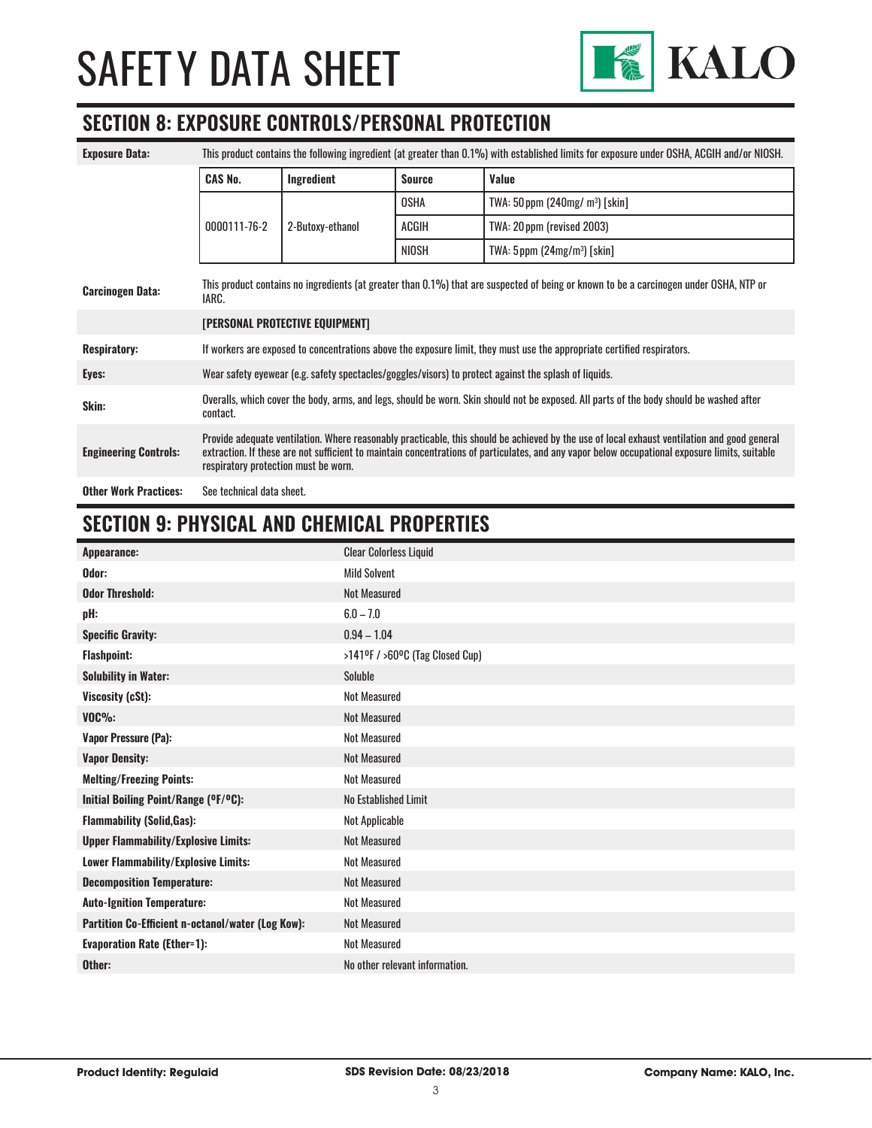

### **SECTION 8: EXPOSURE CONTROLS/PERSONAL PROTECTION**

| <b>Exposure Data:</b>        | This product contains the following ingredient (at greater than 0.1%) with established limits for exposure under OSHA, ACGIH and/or NIOSH.                                                                                                                                                                                             |                  |               |                                              |
|------------------------------|----------------------------------------------------------------------------------------------------------------------------------------------------------------------------------------------------------------------------------------------------------------------------------------------------------------------------------------|------------------|---------------|----------------------------------------------|
|                              | <b>CAS No.</b>                                                                                                                                                                                                                                                                                                                         | Ingredient       | <b>Source</b> | Value                                        |
|                              |                                                                                                                                                                                                                                                                                                                                        |                  | <b>OSHA</b>   | TWA: $50$ ppm (240mg/m <sup>3</sup> ) [skin] |
|                              | 0000111-76-2                                                                                                                                                                                                                                                                                                                           | 2-Butoxy-ethanol | ACGIH         | TWA: 20 ppm (revised 2003)                   |
|                              |                                                                                                                                                                                                                                                                                                                                        |                  | NIOSH         | TWA: $5$ ppm $(24mg/m3)$ [skin]              |
| <b>Carcinogen Data:</b>      | This product contains no ingredients (at greater than 0.1%) that are suspected of being or known to be a carcinogen under OSHA, NTP or<br>IARC.                                                                                                                                                                                        |                  |               |                                              |
|                              | [PERSONAL PROTECTIVE EQUIPMENT]                                                                                                                                                                                                                                                                                                        |                  |               |                                              |
| <b>Respiratory:</b>          | If workers are exposed to concentrations above the exposure limit, they must use the appropriate certified respirators.                                                                                                                                                                                                                |                  |               |                                              |
| Eyes:                        | Wear safety eyewear (e.g. safety spectacles/goggles/visors) to protect against the splash of liquids.                                                                                                                                                                                                                                  |                  |               |                                              |
| Skin:                        | Overalls, which cover the body, arms, and legs, should be worn. Skin should not be exposed. All parts of the body should be washed after<br>contact.                                                                                                                                                                                   |                  |               |                                              |
| <b>Engineering Controls:</b> | Provide adequate ventilation. Where reasonably practicable, this should be achieved by the use of local exhaust ventilation and good general<br>extraction. If these are not sufficient to maintain concentrations of particulates, and any vapor below occupational exposure limits, suitable<br>respiratory protection must be worn. |                  |               |                                              |
| <b>Other Work Practices:</b> | See technical data sheet.                                                                                                                                                                                                                                                                                                              |                  |               |                                              |

# **SECTION 9: PHYSICAL AND CHEMICAL PROPERTIES**

| Appearance:                                       | <b>Clear Colorless Liquid</b>                                 |
|---------------------------------------------------|---------------------------------------------------------------|
| Odor:                                             | <b>Mild Solvent</b>                                           |
| <b>Odor Threshold:</b>                            | Not Measured                                                  |
| pH:                                               | $6.0 - 7.0$                                                   |
| <b>Specific Gravity:</b>                          | $0.94 - 1.04$                                                 |
| <b>Flashpoint:</b>                                | $>141$ <sup>o</sup> F / $>60$ <sup>o</sup> C (Tag Closed Cup) |
| <b>Solubility in Water:</b>                       | Soluble                                                       |
| Viscosity (cSt):                                  | Not Measured                                                  |
| $VOC\%$ :                                         | <b>Not Measured</b>                                           |
| <b>Vapor Pressure (Pa):</b>                       | <b>Not Measured</b>                                           |
| <b>Vapor Density:</b>                             | <b>Not Measured</b>                                           |
| <b>Melting/Freezing Points:</b>                   | <b>Not Measured</b>                                           |
| Initial Boiling Point/Range (°F/°C):              | No Established Limit                                          |
| <b>Flammability (Solid, Gas):</b>                 | Not Applicable                                                |
| <b>Upper Flammability/Explosive Limits:</b>       | <b>Not Measured</b>                                           |
| Lower Flammability/Explosive Limits:              | <b>Not Measured</b>                                           |
| <b>Decomposition Temperature:</b>                 | <b>Not Measured</b>                                           |
| <b>Auto-Ignition Temperature:</b>                 | <b>Not Measured</b>                                           |
| Partition Co-Efficient n-octanol/water (Log Kow): | Not Measured                                                  |
| <b>Evaporation Rate (Ether=1):</b>                | <b>Not Measured</b>                                           |
| Other:                                            | No other relevant information.                                |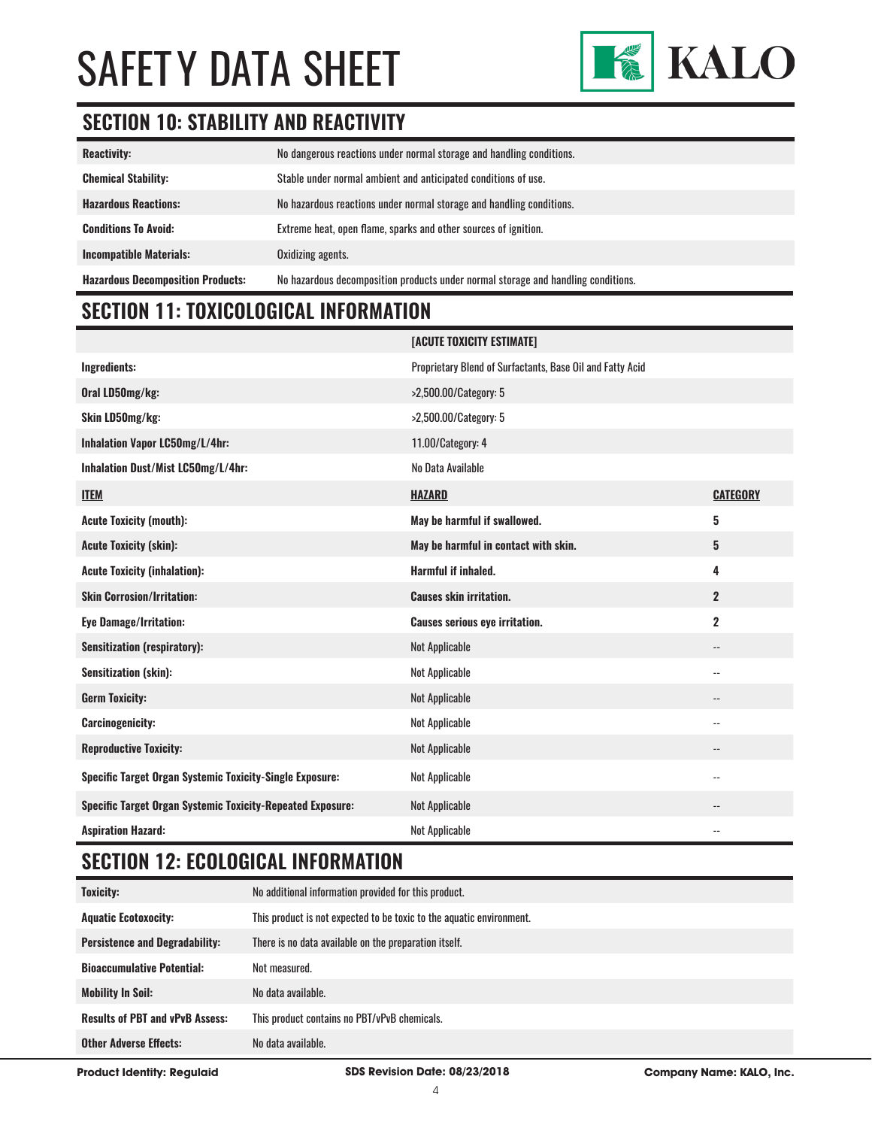

# **SECTION 10: STABILITY AND REACTIVITY**

| <b>Reactivity:</b>                       | No dangerous reactions under normal storage and handling conditions.              |
|------------------------------------------|-----------------------------------------------------------------------------------|
| <b>Chemical Stability:</b>               | Stable under normal ambient and anticipated conditions of use.                    |
| <b>Hazardous Reactions:</b>              | No hazardous reactions under normal storage and handling conditions.              |
| <b>Conditions To Avoid:</b>              | Extreme heat, open flame, sparks and other sources of ignition.                   |
| <b>Incompatible Materials:</b>           | Oxidizing agents.                                                                 |
| <b>Hazardous Decomposition Products:</b> | No hazardous decomposition products under normal storage and handling conditions. |

# **SECTION 11: TOXICOLOGICAL INFORMATION**

|                                                                   | [ACUTE TOXICITY ESTIMATE]                                 |                            |
|-------------------------------------------------------------------|-----------------------------------------------------------|----------------------------|
| Ingredients:                                                      | Proprietary Blend of Surfactants, Base Oil and Fatty Acid |                            |
| Oral LD50mg/kg:                                                   | >2,500.00/Category: 5                                     |                            |
| Skin LD50mg/kg:                                                   | >2,500.00/Category: 5                                     |                            |
| Inhalation Vapor LC50mg/L/4hr:                                    | 11.00/Category: 4                                         |                            |
| Inhalation Dust/Mist LC50mg/L/4hr:                                | No Data Available                                         |                            |
| <b>ITEM</b>                                                       | <b>HAZARD</b>                                             | <b>CATEGORY</b>            |
| <b>Acute Toxicity (mouth):</b>                                    | May be harmful if swallowed.                              | 5                          |
| <b>Acute Toxicity (skin):</b>                                     | May be harmful in contact with skin.                      | 5                          |
| <b>Acute Toxicity (inhalation):</b>                               | <b>Harmful if inhaled.</b>                                | 4                          |
|                                                                   |                                                           |                            |
| <b>Skin Corrosion/Irritation:</b>                                 | <b>Causes skin irritation.</b>                            | $\overline{2}$             |
| <b>Eye Damage/Irritation:</b>                                     | <b>Causes serious eye irritation.</b>                     | $\mathbf 2$                |
| <b>Sensitization (respiratory):</b>                               | <b>Not Applicable</b>                                     | $-$                        |
| Sensitization (skin):                                             | <b>Not Applicable</b>                                     | $\overline{\phantom{a}}$ . |
| <b>Germ Toxicity:</b>                                             | <b>Not Applicable</b>                                     | $\overline{\phantom{a}}$   |
| <b>Carcinogenicity:</b>                                           | Not Applicable                                            | $\overline{\phantom{a}}$   |
| <b>Reproductive Toxicity:</b>                                     | <b>Not Applicable</b>                                     | $-$                        |
| <b>Specific Target Organ Systemic Toxicity-Single Exposure:</b>   | Not Applicable                                            | $\overline{\phantom{a}}$ . |
| <b>Specific Target Organ Systemic Toxicity-Repeated Exposure:</b> | <b>Not Applicable</b>                                     | $\qquad \qquad -$          |

### **SECTION 12: ECOLOGICAL INFORMATION**

| <b>Toxicity:</b>                       | No additional information provided for this product.                 |
|----------------------------------------|----------------------------------------------------------------------|
| <b>Aquatic Ecotoxocity:</b>            | This product is not expected to be toxic to the aquatic environment. |
| <b>Persistence and Degradability:</b>  | There is no data available on the preparation itself.                |
| <b>Bioaccumulative Potential:</b>      | Not measured.                                                        |
| <b>Mobility In Soil:</b>               | No data available.                                                   |
| <b>Results of PBT and vPvB Assess:</b> | This product contains no PBT/vPvB chemicals.                         |
| <b>Other Adverse Effects:</b>          | No data available.                                                   |